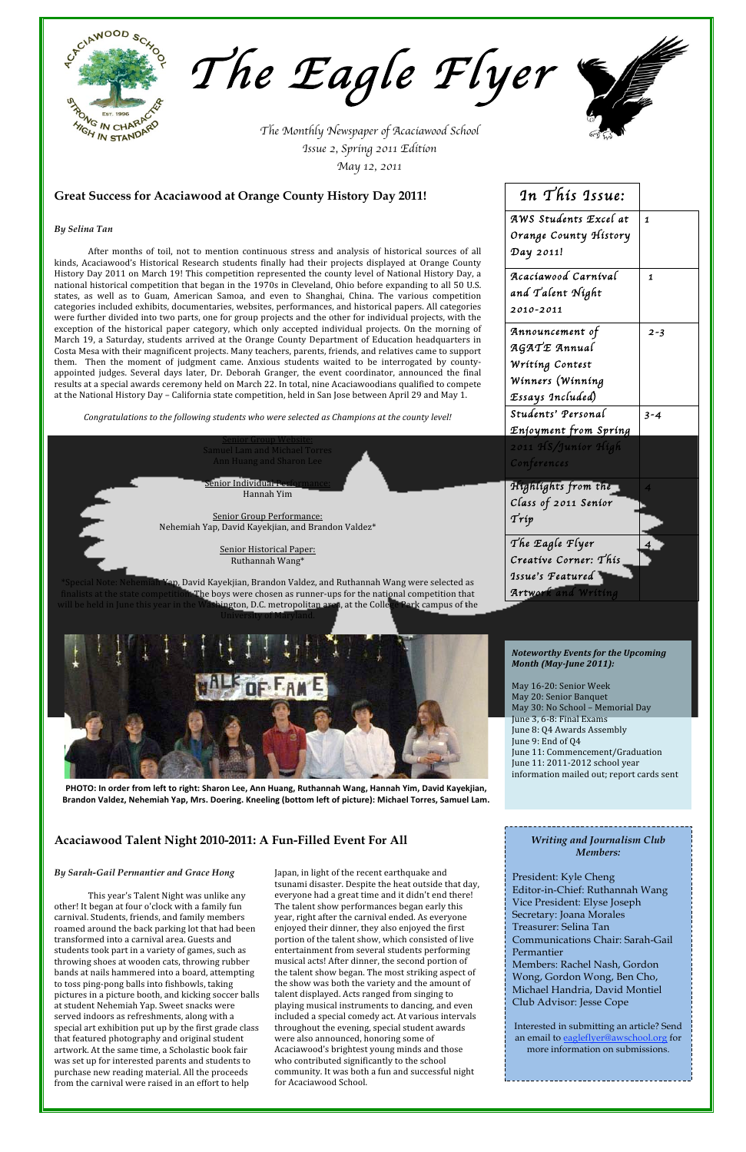| In This Issue:        |              |
|-----------------------|--------------|
| AWS Students Excel at | $\mathbf{1}$ |
| Orange County History |              |
| Day 2011!             |              |
| Acaciawood Carnival   | 1            |
| and Talent Night      |              |
| 2010-2011             |              |
| Announcement of       | $2 - 3$      |
| AGATE Annual          |              |
| Writing Contest       |              |
| Winners (Winning      |              |
| Essays Included)      |              |
| Students' Personal    | $3 - 4$      |
| Enjoyment from Spring |              |
| 2011 HS/Junior High   |              |
| Conferences           |              |
| Híghlíghts from the   | 4            |
| Class of 2011 Senior  |              |
| $\mathcal{T}rip$      |              |
| The Eagle Flyer       | 4            |
| Creative Corner: This |              |
| Issue's Featured      |              |
| Artwork and Writing   |              |

*By Selina Tan*

After months of toil, not to mention continuous stress and analysis of historical sources of all kinds, Acaciawood's Historical Research students finally had their projects displayed at Orange County History Day 2011 on March 19! This competition represented the county level of National History Day, a national historical competition that began in the 1970s in Cleveland, Ohio before expanding to all 50 U.S. states, as well as to Guam, American Samoa, and even to Shanghai, China. The various competition categories included exhibits, documentaries, websites, performances, and historical papers. All categories were further divided into two parts, one for group projects and the other for individual projects, with the exception of the historical paper category, which only accepted individual projects. On the morning of March 19, a Saturday, students arrived at the Orange County Department of Education headquarters in Costa Mesa with their magnificent projects. Many teachers, parents, friends, and relatives came to support them. Then the moment of judgment came. Anxious students waited to be interrogated by countyappointed judges. Several days later, Dr. Deborah Granger, the event coordinator, announced the final results at a special awards ceremony held on March 22. In total, nine Acaciawoodians qualified to compete at the National History Day – California state competition, held in San Jose between April 29 and May 1.

*Congratulations to the following students who were selected as Champions at the county level!*

Senior Group Website: Samuel Lam and Michael Torres Ann Huang and Sharon Lee

Senior Individual Performance: Hannah Yim

Senior Group Performance: Nehemiah Yap, David Kayekjian, and Brandon Valdez\*

> Senior Historical Paper: Ruthannah Wang\*

\*Special Note: Nehemiah Yap, David Kayekjian, Brandon Valdez, and Ruthannah Wang were selected as finalists at the state competition. The boys were chosen as runner‐ups for the national competition that will be held in June this year in the Washington, D.C. metropolitan area, at the College Park campus of the University of Maryland.



PHOTO: In order from left to right: Sharon Lee, Ann Huang, Ruthannah Wang, Hannah Yim, David Kayekjian, Brandon Valdez, Nehemiah Yap, Mrs. Doering. Kneeling (bottom left of picture): Michael Torres, Samuel Lam.

*Writing and Journalism Club* 

#### *Members:*

President: Kyle Cheng Editor-in-Chief: Ruthannah Wang Vice President: Elyse Joseph Secretary: Joana Morales Treasurer: Selina Tan Communications Chair: Sarah-Gail Permantier Members: Rachel Nash, Gordon Wong, Gordon Wong, Ben Cho,

Michael Handria, David Montiel Club Advisor: Jesse Cope

Interested in submitting an article? Send an email to eagleflyer@awschool.org for more information on submissions.

*The Monthly Newspaper of Acaciawood School Issue 2, Spring 2011 Edition May 12, 2011*



*The Eagle Flyer* 



# **Great Success for Acaciawood at Orange County History Day 2011!**

### *Noteworthy Events for the Upcoming Month (MayJune 2011):*

May 16‐20: Senior Week May 20: Senior Banquet May 30: No School – Memorial Day June 3, 6‐8: Final Exams June 8: Q4 Awards Assembly June 9: End of Q4 June 11: Commencement/Graduation June 11: 2011‐2012 school year information mailed out; report cards sent

**Acaciawood Talent Night 2010-2011: A Fun-Filled Event For All**

### *By Sarah-Gail Permantier and Grace Hong*

This year's Talent Night was unlike any other! It began at four o'clock with a family fun carnival. Students, friends, and family members roamed around the back parking lot that had been transformed into a carnival area. Guests and students took part in a variety of games, such as throwing shoes at wooden cats, throwing rubber bands at nails hammered into a board, attempting to toss ping‐pong balls into fishbowls, taking pictures in a picture booth, and kicking soccer balls at student Nehemiah Yap. Sweet snacks were served indoors as refreshments, along with a special art exhibition put up by the first grade class that featured photography and original student artwork. At the same time, a Scholastic book fair was set up for interested parents and students to purchase new reading material. All the proceeds from the carnival were raised in an effort to help

Japan, in light of the recent earthquake and tsunami disaster. Despite the heat outside that day, everyone had a great time and it didn't end there! The talent show performances began early this year, right after the carnival ended. As everyone enjoyed their dinner, they also enjoyed the first portion of the talent show, which consisted of live entertainment from several students performing musical acts! After dinner, the second portion of the talent show began. The most striking aspect of the show was both the variety and the amount of talent displayed. Acts ranged from singing to playing musical instruments to dancing, and even included a special comedy act. At various intervals throughout the evening, special student awards were also announced, honoring some of Acaciawood's brightest young minds and those who contributed significantly to the school community. It was both a fun and successful night for Acaciawood School.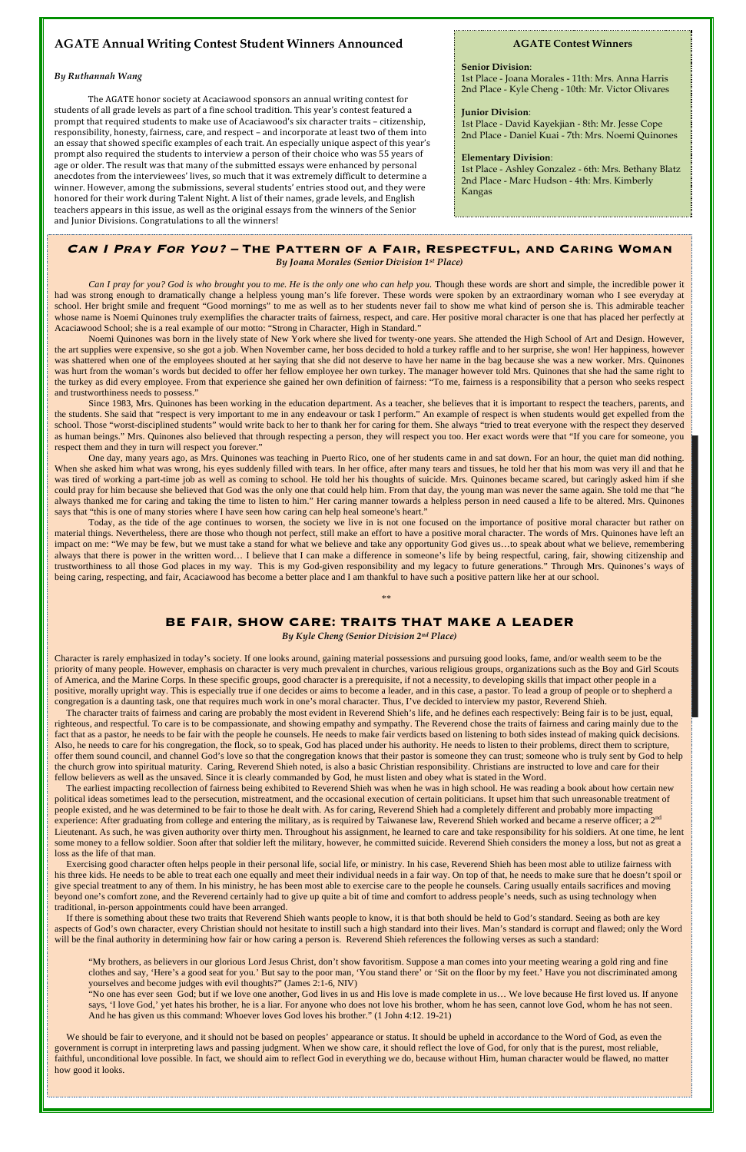# **Can I Pray For You? – The Pattern of a Fair, Respectful, and Caring Woman**

*By Joana Morales (Senior Division 1st Place)*

*Can I pray for you? God is who brought you to me. He is the only one who can help you.* Though these words are short and simple, the incredible power it had was strong enough to dramatically change a helpless young man's life forever. These words were spoken by an extraordinary woman who I see everyday at school. Her bright smile and frequent "Good mornings" to me as well as to her students never fail to show me what kind of person she is. This admirable teacher whose name is Noemi Quinones truly exemplifies the character traits of fairness, respect, and care. Her positive moral character is one that has placed her perfectly at Acaciawood School; she is a real example of our motto: "Strong in Character, High in Standard."

Noemi Quinones was born in the lively state of New York where she lived for twenty-one years. She attended the High School of Art and Design. However, the art supplies were expensive, so she got a job. When November came, her boss decided to hold a turkey raffle and to her surprise, she won! Her happiness, however was shattered when one of the employees shouted at her saying that she did not deserve to have her name in the bag because she was a new worker. Mrs. Quinones was hurt from the woman's words but decided to offer her fellow employee her own turkey. The manager however told Mrs. Quinones that she had the same right to the turkey as did every employee. From that experience she gained her own definition of fairness: "To me, fairness is a responsibility that a person who seeks respect and trustworthiness needs to possess."

Today, as the tide of the age continues to worsen, the society we live in is not one focused on the importance of positive moral character but rather on material things. Nevertheless, there are those who though not perfect, still make an effort to have a positive moral character. The words of Mrs. Quinones have left an impact on me: "We may be few, but we must take a stand for what we believe and take any opportunity God gives us...to speak about what we believe, remembering always that there is power in the written word… I believe that I can make a difference in someone's life by being respectful, caring, fair, showing citizenship and trustworthiness to all those God places in my way. This is my God-given responsibility and my legacy to future generations." Through Mrs. Quinones's ways of being caring, respecting, and fair, Acaciawood has become a better place and I am thankful to have such a positive pattern like her at our school.

Since 1983, Mrs. Quinones has been working in the education department. As a teacher, she believes that it is important to respect the teachers, parents, and the students. She said that "respect is very important to me in any endeavour or task I perform." An example of respect is when students would get expelled from the school. Those "worst-disciplined students" would write back to her to thank her for caring for them. She always "tried to treat everyone with the respect they deserved as human beings." Mrs. Quinones also believed that through respecting a person, they will respect you too. Her exact words were that "If you care for someone, you respect them and they in turn will respect you forever."

One day, many years ago, as Mrs. Quinones was teaching in Puerto Rico, one of her students came in and sat down. For an hour, the quiet man did nothing. When she asked him what was wrong, his eyes suddenly filled with tears. In her office, after many tears and tissues, he told her that his mom was very ill and that he was tired of working a part-time job as well as coming to school. He told her his thoughts of suicide. Mrs. Quinones became scared, but caringly asked him if she could pray for him because she believed that God was the only one that could help him. From that day, the young man was never the same again. She told me that "he always thanked me for caring and taking the time to listen to him." Her caring manner towards a helpless person in need caused a life to be altered. Mrs. Quinones says that "this is one of many stories where I have seen how caring can help heal someone's heart."

The earliest impacting recollection of fairness being exhibited to Reverend Shieh was when he was in high school. He was reading a book about how certain new political ideas sometimes lead to the persecution, mistreatment, and the occasional execution of certain politicians. It upset him that such unreasonable treatment of people existed, and he was determined to be fair to those he dealt with. As for caring, Reverend Shieh had a completely different and probably more impacting experience: After graduating from college and entering the military, as is required by Taiwanese law, Reverend Shieh worked and became a reserve officer; a 2<sup>nd</sup> Lieutenant. As such, he was given authority over thirty men. Throughout his assignment, he learned to care and take responsibility for his soldiers. At one time, he lent some money to a fellow soldier. Soon after that soldier left the military, however, he committed suicide. Reverend Shieh considers the money a loss, but not as great a loss as the life of that man.

 If there is something about these two traits that Reverend Shieh wants people to know, it is that both should be held to God's standard. Seeing as both are key aspects of God's own character, every Christian should not hesitate to instill such a high standard into their lives. Man's standard is corrupt and flawed; only the Word will be the final authority in determining how fair or how caring a person is. Reverend Shieh references the following verses as such a standard:

\*\*

### **BE FAIR, SHOW CARE: TRAITS THAT MAKE A LEADER**

*By Kyle Cheng (Senior Division 2nd Place)*

Character is rarely emphasized in today's society. If one looks around, gaining material possessions and pursuing good looks, fame, and/or wealth seem to be the priority of many people. However, emphasis on character is very much prevalent in churches, various religious groups, organizations such as the Boy and Girl Scouts of America, and the Marine Corps. In these specific groups, good character is a prerequisite, if not a necessity, to developing skills that impact other people in a positive, morally upright way. This is especially true if one decides or aims to become a leader, and in this case, a pastor. To lead a group of people or to shepherd a congregation is a daunting task, one that requires much work in one's moral character. Thus, I've decided to interview my pastor, Reverend Shieh.

We should be fair to everyone, and it should not be based on peoples' appearance or status. It should be upheld in accordance to the Word of God, as even the government is corrupt in interpreting laws and passing judgment. When we show care, it should reflect the love of God, for only that is the purest, most reliable, faithful, unconditional love possible. In fact, we should aim to reflect God in everything we do, because without Him, human character would be flawed, no matter how good it looks.

 The character traits of fairness and caring are probably the most evident in Reverend Shieh's life, and he defines each respectively: Being fair is to be just, equal, righteous, and respectful. To care is to be compassionate, and showing empathy and sympathy. The Reverend chose the traits of fairness and caring mainly due to the fact that as a pastor, he needs to be fair with the people he counsels. He needs to make fair verdicts based on listening to both sides instead of making quick decisions. Also, he needs to care for his congregation, the flock, so to speak, God has placed under his authority. He needs to listen to their problems, direct them to scripture, offer them sound council, and channel God's love so that the congregation knows that their pastor is someone they can trust; someone who is truly sent by God to help the church grow into spiritual maturity. Caring, Reverend Shieh noted, is also a basic Christian responsibility. Christians are instructed to love and care for their fellow believers as well as the unsaved. Since it is clearly commanded by God, he must listen and obey what is stated in the Word.

 Exercising good character often helps people in their personal life, social life, or ministry. In his case, Reverend Shieh has been most able to utilize fairness with his three kids. He needs to be able to treat each one equally and meet their individual needs in a fair way. On top of that, he needs to make sure that he doesn't spoil or give special treatment to any of them. In his ministry, he has been most able to exercise care to the people he counsels. Caring usually entails sacrifices and moving beyond one's comfort zone, and the Reverend certainly had to give up quite a bit of time and comfort to address people's needs, such as using technology when traditional, in-person appointments could have been arranged.

"My brothers, as believers in our glorious Lord Jesus Christ, don't show favoritism. Suppose a man comes into your meeting wearing a gold ring and fine clothes and say, 'Here's a good seat for you.' But say to the poor man, 'You stand there' or 'Sit on the floor by my feet.' Have you not discriminated among yourselves and become judges with evil thoughts?" (James 2:1-6, NIV)

"No one has ever seen God; but if we love one another, God lives in us and His love is made complete in us… We love because He first loved us. If anyone says, 'I love God,' yet hates his brother, he is a liar. For anyone who does not love his brother, whom he has seen, cannot love God, whom he has not seen. And he has given us this command: Whoever loves God loves his brother." (1 John 4:12. 19-21)

# **AGATE Annual Writing Contest Student Winners Announced**

### *By Ruthannah Wang*

The AGATE honor society at Acaciawood sponsors an annual writing contest for students of all grade levels as part of a fine school tradition. This year's contest featured a prompt that required students to make use of Acaciawood's six character traits – citizenship, responsibility, honesty, fairness, care, and respect – and incorporate at least two of them into an essay that showed specific examples of each trait. An especially unique aspect of this year's prompt also required the students to interview a person of their choice who was 55 years of age or older. The result was that many of the submitted essays were enhanced by personal anecdotes from the interviewees' lives, so much that it was extremely difficult to determine a winner. However, among the submissions, several students' entries stood out, and they were honored for their work during Talent Night. A list of their names, grade levels, and English teachers appears in this issue, as well as the original essays from the winners of the Senior and Junior Divisions. Congratulations to all the winners!

### **AGATE Contest Winners**

#### **Senior Division**:

1st Place - Joana Morales - 11th: Mrs. Anna Harris 2nd Place - Kyle Cheng - 10th: Mr. Victor Olivares

#### **Junior Division**:

1st Place - David Kayekjian - 8th: Mr. Jesse Cope 2nd Place - Daniel Kuai - 7th: Mrs. Noemi Quinones

### **Elementary Division**:

1st Place - Ashley Gonzalez - 6th: Mrs. Bethany Blatz 2nd Place - Marc Hudson - 4th: Mrs. Kimberly Kangas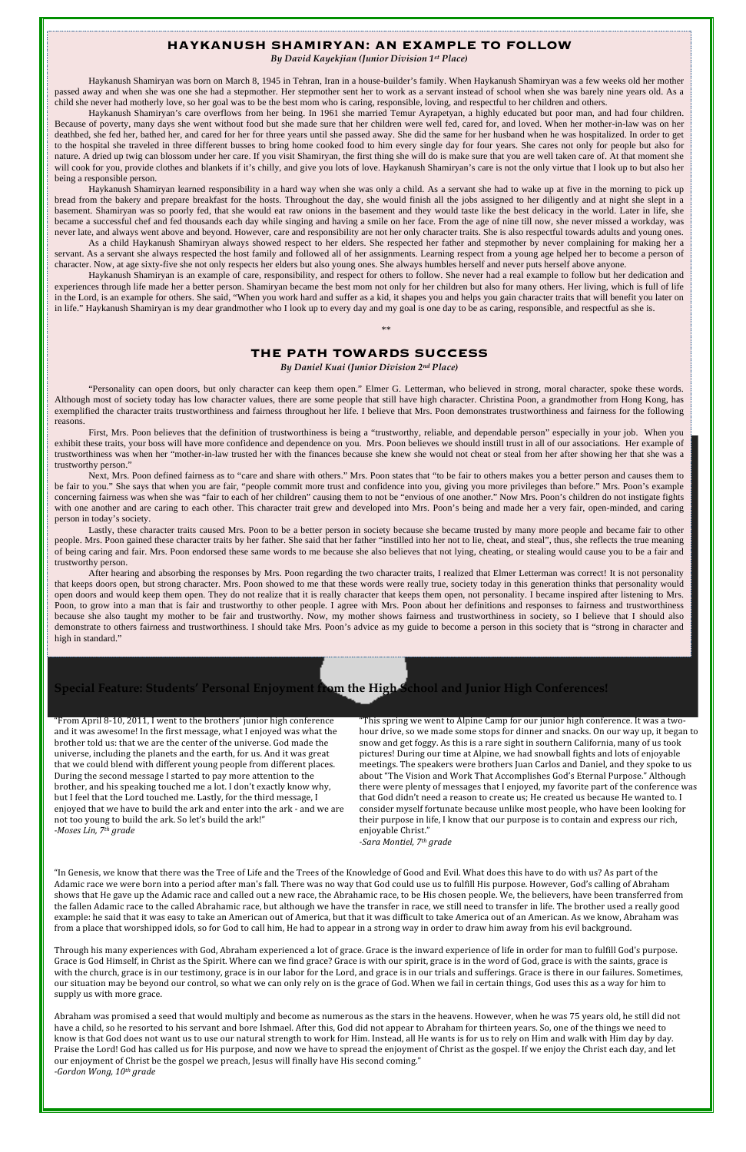## **HAYKANUSH SHAMIRYAN: AN EXAMPLE TO FOLLOW**

*By David Kayekjian (Junior Division 1st Place)*

Haykanush Shamiryan was born on March 8, 1945 in Tehran, Iran in a house-builder's family. When Haykanush Shamiryan was a few weeks old her mother passed away and when she was one she had a stepmother. Her stepmother sent her to work as a servant instead of school when she was barely nine years old. As a child she never had motherly love, so her goal was to be the best mom who is caring, responsible, loving, and respectful to her children and others.

Haykanush Shamiryan's care overflows from her being. In 1961 she married Temur Ayrapetyan, a highly educated but poor man, and had four children. Because of poverty, many days she went without food but she made sure that her children were well fed, cared for, and loved. When her mother-in-law was on her deathbed, she fed her, bathed her, and cared for her for three years until she passed away. She did the same for her husband when he was hospitalized. In order to get to the hospital she traveled in three different busses to bring home cooked food to him every single day for four years. She cares not only for people but also for nature. A dried up twig can blossom under her care. If you visit Shamiryan, the first thing she will do is make sure that you are well taken care of. At that moment she will cook for you, provide clothes and blankets if it's chilly, and give you lots of love. Haykanush Shamiryan's care is not the only virtue that I look up to but also her being a responsible person.

Haykanush Shamiryan learned responsibility in a hard way when she was only a child. As a servant she had to wake up at five in the morning to pick up bread from the bakery and prepare breakfast for the hosts. Throughout the day, she would finish all the jobs assigned to her diligently and at night she slept in a basement. Shamiryan was so poorly fed, that she would eat raw onions in the basement and they would taste like the best delicacy in the world. Later in life, she became a successful chef and fed thousands each day while singing and having a smile on her face. From the age of nine till now, she never missed a workday, was never late, and always went above and beyond. However, care and responsibility are not her only character traits. She is also respectful towards adults and young ones.

As a child Haykanush Shamiryan always showed respect to her elders. She respected her father and stepmother by never complaining for making her a servant. As a servant she always respected the host family and followed all of her assignments. Learning respect from a young age helped her to become a person of character. Now, at age sixty-five she not only respects her elders but also young ones. She always humbles herself and never puts herself above anyone.

After hearing and absorbing the responses by Mrs. Poon regarding the two character traits, I realized that Elmer Letterman was correct! It is not personality that keeps doors open, but strong character. Mrs. Poon showed to me that these words were really true, society today in this generation thinks that personality would open doors and would keep them open. They do not realize that it is really character that keeps them open, not personality. I became inspired after listening to Mrs. Poon, to grow into a man that is fair and trustworthy to other people. I agree with Mrs. Poon about her definitions and responses to fairness and trustworthiness because she also taught my mother to be fair and trustworthy. Now, my mother shows fairness and trustworthiness in society, so I believe that I should also demonstrate to others fairness and trustworthiness. I should take Mrs. Poon's advice as my guide to become a person in this society that is "strong in character and high in standard."

Haykanush Shamiryan is an example of care, responsibility, and respect for others to follow. She never had a real example to follow but her dedication and experiences through life made her a better person. Shamiryan became the best mom not only for her children but also for many others. Her living, which is full of life in the Lord, is an example for others. She said, "When you work hard and suffer as a kid, it shapes you and helps you gain character traits that will benefit you later on in life." Haykanush Shamiryan is my dear grandmother who I look up to every day and my goal is one day to be as caring, responsible, and respectful as she is.

\*\*

# **THE PATH TOWARDS SUCCESS**

*By Daniel Kuai (Junior Division 2nd Place)*

"Personality can open doors, but only character can keep them open." Elmer G. Letterman, who believed in strong, moral character, spoke these words. Although most of society today has low character values, there are some people that still have high character. Christina Poon, a grandmother from Hong Kong, has exemplified the character traits trustworthiness and fairness throughout her life. I believe that Mrs. Poon demonstrates trustworthiness and fairness for the following reasons.

First, Mrs. Poon believes that the definition of trustworthiness is being a "trustworthy, reliable, and dependable person" especially in your job. When you exhibit these traits, your boss will have more confidence and dependence on you. Mrs. Poon believes we should instill trust in all of our associations. Her example of trustworthiness was when her "mother-in-law trusted her with the finances because she knew she would not cheat or steal from her after showing her that she was a trustworthy person."

Next, Mrs. Poon defined fairness as to "care and share with others." Mrs. Poon states that "to be fair to others makes you a better person and causes them to be fair to you." She says that when you are fair, "people commit more trust and confidence into you, giving you more privileges than before." Mrs. Poon's example concerning fairness was when she was "fair to each of her children" causing them to not be "envious of one another." Now Mrs. Poon's children do not instigate fights with one another and are caring to each other. This character trait grew and developed into Mrs. Poon's being and made her a very fair, open-minded, and caring person in today's society.

Lastly, these character traits caused Mrs. Poon to be a better person in society because she became trusted by many more people and became fair to other people. Mrs. Poon gained these character traits by her father. She said that her father "instilled into her not to lie, cheat, and steal", thus, she reflects the true meaning of being caring and fair. Mrs. Poon endorsed these same words to me because she also believes that not lying, cheating, or stealing would cause you to be a fair and trustworthy person.

# **Special Feature: Students' Personal Enjoyment from the High School and Junior High Conferences!**

"From April 8‐10, 2011, I went to the brothers' junior high conference and it was awesome! In the first message, what I enjoyed was what the brother told us: that we are the center of the universe. God made the universe, including the planets and the earth, for us. And it was great that we could blend with different young people from different places. During the second message I started to pay more attention to the brother, and his speaking touched me a lot. I don't exactly know why, but I feel that the Lord touched me. Lastly, for the third message, I enjoyed that we have to build the ark and enter into the ark ‐ and we are not too young to build the ark. So let's build the ark!" *Moses Lin, 7th grade*

"This spring we went to Alpine Camp for our junior high conference. It was a two‐ hour drive, so we made some stops for dinner and snacks. On our way up, it began to snow and get foggy. As this is a rare sight in southern California, many of us took pictures! During our time at Alpine, we had snowball fights and lots of enjoyable meetings. The speakers were brothers Juan Carlos and Daniel, and they spoke to us about "The Vision and Work That Accomplishes God's Eternal Purpose." Although there were plenty of messages that I enjoyed, my favorite part of the conference was that God didn't need a reason to create us; He created us because He wanted to. I consider myself fortunate because unlike most people, who have been looking for their purpose in life, I know that our purpose is to contain and express our rich, enjoyable Christ."

*Sara Montiel, 7th grade*

"In Genesis, we know that there was the Tree of Life and the Trees of the Knowledge of Good and Evil. What does this have to do with us? As part of the Adamic race we were born into a period after man's fall. There was no way that God could use us to fulfill His purpose. However, God's calling of Abraham shows that He gave up the Adamic race and called out a new race, the Abrahamic race, to be His chosen people. We, the believers, have been transferred from the fallen Adamic race to the called Abrahamic race, but although we have the transfer in race, we still need to transfer in life. The brother used a really good example: he said that it was easy to take an American out of America, but that it was difficult to take America out of an American. As we know, Abraham was from a place that worshipped idols, so for God to call him, He had to appear in a strong way in order to draw him away from his evil background.

Through his many experiences with God, Abraham experienced a lot of grace. Grace is the inward experience of life in order for man to fulfill God's purpose. Grace is God Himself, in Christ as the Spirit. Where can we find grace? Grace is with our spirit, grace is in the word of God, grace is with the saints, grace is with the church, grace is in our testimony, grace is in our labor for the Lord, and grace is in our trials and sufferings. Grace is there in our failures. Sometimes, our situation may be beyond our control, so what we can only rely on is the grace of God. When we fail in certain things, God uses this as a way for him to supply us with more grace.

Abraham was promised a seed that would multiply and become as numerous as the stars in the heavens. However, when he was 75 years old, he still did not have a child, so he resorted to his servant and bore Ishmael. After this, God did not appear to Abraham for thirteen years. So, one of the things we need to know is that God does not want us to use our natural strength to work for Him. Instead, all He wants is for us to rely on Him and walk with Him day by day. Praise the Lord! God has called us for His purpose, and now we have to spread the enjoyment of Christ as the gospel. If we enjoy the Christ each day, and let our enjoyment of Christ be the gospel we preach, Jesus will finally have His second coming." *Gordon Wong, 10th grade*

*Moses Lin, 7th grade*